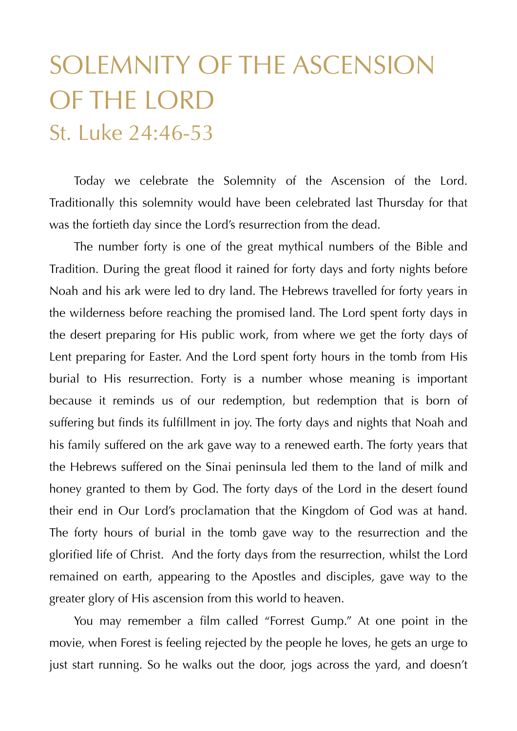## SOLEMNITY OF THE ASCENSION OF THE LORD St. Luke 24:46-53

 Today we celebrate the Solemnity of the Ascension of the Lord. Traditionally this solemnity would have been celebrated last Thursday for that was the fortieth day since the Lord's resurrection from the dead.

 The number forty is one of the great mythical numbers of the Bible and Tradition. During the great flood it rained for forty days and forty nights before Noah and his ark were led to dry land. The Hebrews travelled for forty years in the wilderness before reaching the promised land. The Lord spent forty days in the desert preparing for His public work, from where we get the forty days of Lent preparing for Easter. And the Lord spent forty hours in the tomb from His burial to His resurrection. Forty is a number whose meaning is important because it reminds us of our redemption, but redemption that is born of suffering but finds its fulfillment in joy. The forty days and nights that Noah and his family suffered on the ark gave way to a renewed earth. The forty years that the Hebrews suffered on the Sinai peninsula led them to the land of milk and honey granted to them by God. The forty days of the Lord in the desert found their end in Our Lord's proclamation that the Kingdom of God was at hand. The forty hours of burial in the tomb gave way to the resurrection and the glorified life of Christ. And the forty days from the resurrection, whilst the Lord remained on earth, appearing to the Apostles and disciples, gave way to the greater glory of His ascension from this world to heaven.

 You may remember a film called "Forrest Gump." At one point in the movie, when Forest is feeling rejected by the people he loves, he gets an urge to just start running. So he walks out the door, jogs across the yard, and doesn't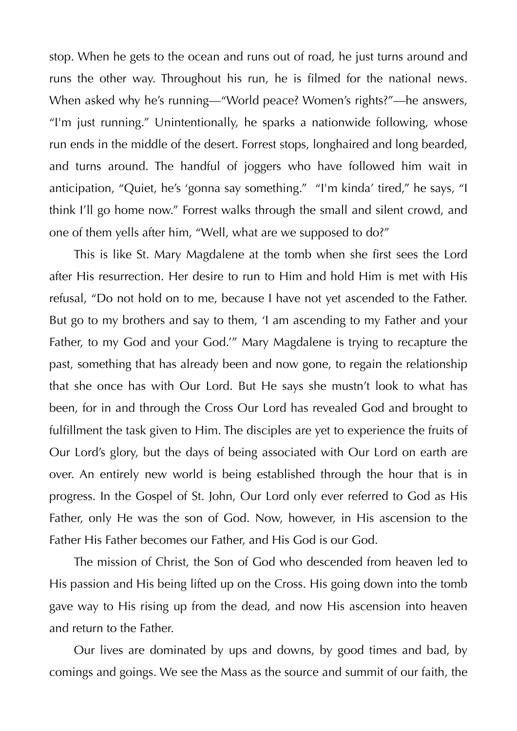stop. When he gets to the ocean and runs out of road, he just turns around and runs the other way. Throughout his run, he is filmed for the national news. When asked why he's running—"World peace? Women's rights?"—he answers, "I'm just running." Unintentionally, he sparks a nationwide following, whose run ends in the middle of the desert. Forrest stops, longhaired and long bearded, and turns around. The handful of joggers who have followed him wait in anticipation, "Quiet, he's 'gonna say something." "I'm kinda' tired," he says, "I think I'll go home now." Forrest walks through the small and silent crowd, and one of them yells after him, "Well, what are we supposed to do?"

 This is like St. Mary Magdalene at the tomb when she first sees the Lord after His resurrection. Her desire to run to Him and hold Him is met with His refusal, "Do not hold on to me, because I have not yet ascended to the Father. But go to my brothers and say to them, 'I am ascending to my Father and your Father, to my God and your God.'" Mary Magdalene is trying to recapture the past, something that has already been and now gone, to regain the relationship that she once has with Our Lord. But He says she mustn't look to what has been, for in and through the Cross Our Lord has revealed God and brought to fulfillment the task given to Him. The disciples are yet to experience the fruits of Our Lord's glory, but the days of being associated with Our Lord on earth are over. An entirely new world is being established through the hour that is in progress. In the Gospel of St. John, Our Lord only ever referred to God as His Father, only He was the son of God. Now, however, in His ascension to the Father His Father becomes our Father, and His God is our God.

 The mission of Christ, the Son of God who descended from heaven led to His passion and His being lifted up on the Cross. His going down into the tomb gave way to His rising up from the dead, and now His ascension into heaven and return to the Father.

 Our lives are dominated by ups and downs, by good times and bad, by comings and goings. We see the Mass as the source and summit of our faith, the